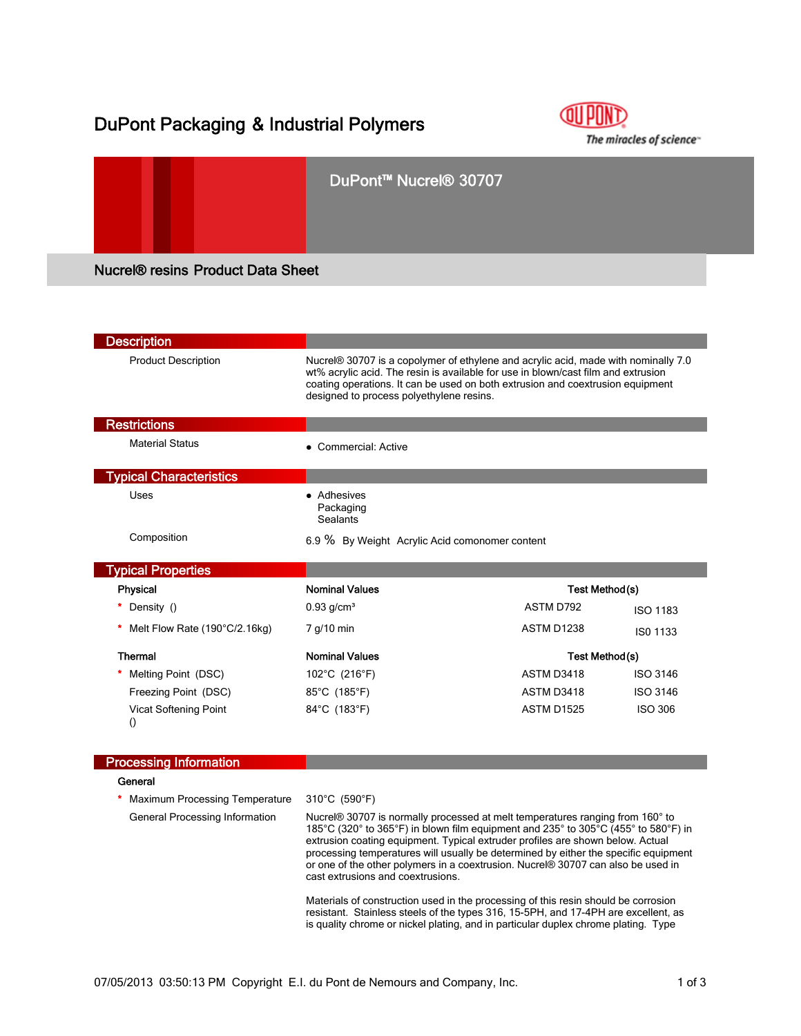## DuPont Packaging & Industrial Polymers



# DuPont™ Nucrel® 30707 Nucrel® resins Product Data Sheet

| <b>Description</b>                               |                                                                                                                                                                                                                                                                                                                                              |                   |                 |  |
|--------------------------------------------------|----------------------------------------------------------------------------------------------------------------------------------------------------------------------------------------------------------------------------------------------------------------------------------------------------------------------------------------------|-------------------|-----------------|--|
| <b>Product Description</b>                       | Nucrel® 30707 is a copolymer of ethylene and acrylic acid, made with nominally 7.0<br>wt% acrylic acid. The resin is available for use in blown/cast film and extrusion<br>coating operations. It can be used on both extrusion and coextrusion equipment<br>designed to process polyethylene resins.                                        |                   |                 |  |
| <b>Restrictions</b>                              |                                                                                                                                                                                                                                                                                                                                              |                   |                 |  |
| <b>Material Status</b>                           | • Commercial: Active                                                                                                                                                                                                                                                                                                                         |                   |                 |  |
| <b>Typical Characteristics</b>                   |                                                                                                                                                                                                                                                                                                                                              |                   |                 |  |
| Uses                                             | • Adhesives<br>Packaging<br><b>Sealants</b>                                                                                                                                                                                                                                                                                                  |                   |                 |  |
| Composition                                      | 6.9 % By Weight Acrylic Acid comonomer content                                                                                                                                                                                                                                                                                               |                   |                 |  |
| <b>Typical Properties</b>                        |                                                                                                                                                                                                                                                                                                                                              |                   |                 |  |
| Physical                                         | <b>Nominal Values</b>                                                                                                                                                                                                                                                                                                                        |                   | Test Method(s)  |  |
| Density ()                                       | $0.93$ g/cm <sup>3</sup>                                                                                                                                                                                                                                                                                                                     | ASTM D792         | <b>ISO 1183</b> |  |
| Melt Flow Rate (190°C/2.16kg)                    | 7 g/10 min                                                                                                                                                                                                                                                                                                                                   | ASTM D1238        | ISO 1133        |  |
| <b>Thermal</b>                                   | <b>Nominal Values</b>                                                                                                                                                                                                                                                                                                                        |                   | Test Method(s)  |  |
| Melting Point (DSC)                              | 102°C (216°F)                                                                                                                                                                                                                                                                                                                                | ASTM D3418        | <b>ISO 3146</b> |  |
| Freezing Point (DSC)                             | 85°C (185°F)                                                                                                                                                                                                                                                                                                                                 | ASTM D3418        | <b>ISO 3146</b> |  |
| <b>Vicat Softening Point</b><br>$\left( \right)$ | 84°C (183°F)                                                                                                                                                                                                                                                                                                                                 | <b>ASTM D1525</b> | <b>ISO 306</b>  |  |
| <b>Processing Information</b>                    |                                                                                                                                                                                                                                                                                                                                              |                   |                 |  |
| General                                          |                                                                                                                                                                                                                                                                                                                                              |                   |                 |  |
| Maximum Processing Temperature                   | 310°C (590°F)                                                                                                                                                                                                                                                                                                                                |                   |                 |  |
| General Processing Information                   | Nucrel® 30707 is normally processed at melt temperatures ranging from 160° to<br>185°C (320° to 365°F) in blown film equipment and 235° to 305°C (455° to 580°F) in<br>extrusion coating equipment. Typical extruder profiles are shown below. Actual<br>processing temperatures will usually be determined by either the specific equipment |                   |                 |  |

cast extrusions and coextrusions.

Materials of construction used in the processing of this resin should be corrosion resistant. Stainless steels of the types 316, 15-5PH, and 17-4PH are excellent, as is quality chrome or nickel plating, and in particular duplex chrome plating. Type

or one of the other polymers in a coextrusion. Nucrel® 30707 can also be used in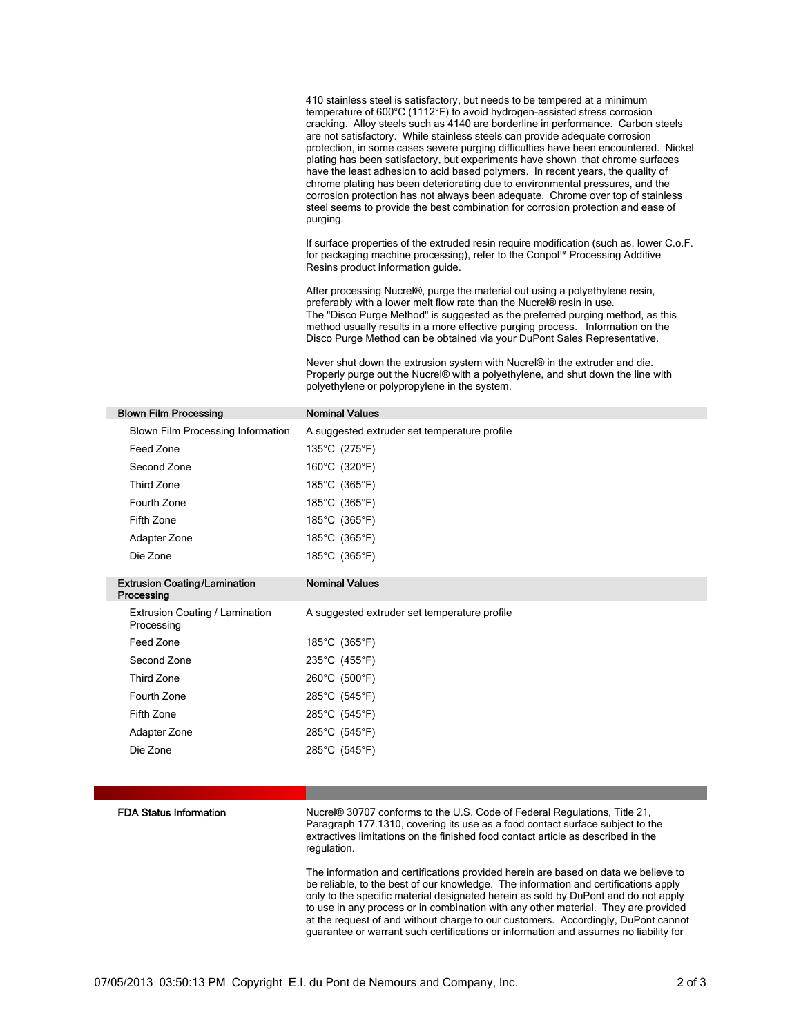410 stainless steel is satisfactory, but needs to be tempered at a minimum temperature of 600°C (1112°F) to avoid hydrogen-assisted stress corrosion cracking. Alloy steels such as 4140 are borderline in performance. Carbon steels are not satisfactory. While stainless steels can provide adequate corrosion protection, in some cases severe purging difficulties have been encountered. Nickel plating has been satisfactory, but experiments have shown that chrome surfaces have the least adhesion to acid based polymers. In recent years, the quality of chrome plating has been deteriorating due to environmental pressures, and the corrosion protection has not always been adequate. Chrome over top of stainless steel seems to provide the best combination for corrosion protection and ease of purging.

If surface properties of the extruded resin require modification (such as, lower C.o.F. for packaging machine processing), refer to the Conpol™ Processing Additive Resins product information guide.

After processing Nucrel®, purge the material out using a polyethylene resin, preferably with a lower melt flow rate than the Nucrel® resin in use. The "Disco Purge Method" is suggested as the preferred purging method, as this method usually results in a more effective purging process. Information on the Disco Purge Method can be obtained via your DuPont Sales Representative.

Never shut down the extrusion system with Nucrel® in the extruder and die. Properly purge out the Nucrel® with a polyethylene, and shut down the line with polyethylene or polypropylene in the system.

| <b>Blown Film Processing</b>                      | <b>Nominal Values</b>                        |
|---------------------------------------------------|----------------------------------------------|
| Blown Film Processing Information                 | A suggested extruder set temperature profile |
| Feed Zone                                         | 135°C (275°F)                                |
| Second Zone                                       | 160°C (320°F)                                |
| <b>Third Zone</b>                                 | 185°C (365°F)                                |
| Fourth Zone                                       | 185°C (365°F)                                |
| Fifth Zone                                        | 185°C (365°F)                                |
| Adapter Zone                                      | 185°C (365°F)                                |
| Die Zone                                          | 185°C (365°F)                                |
| <b>Extrusion Coating/Lamination</b><br>Processing | <b>Nominal Values</b>                        |
| Extrusion Coating / Lamination<br>Processing      | A suggested extruder set temperature profile |
|                                                   |                                              |
| Feed Zone                                         | 185°C (365°F)                                |
| Second Zone                                       | 235°C (455°F)                                |
| Third Zone                                        | 260°C (500°F)                                |
| Fourth Zone                                       | 285°C (545°F)                                |
| Fifth Zone                                        | 285°C (545°F)                                |
| Adapter Zone                                      | 285°C (545°F)                                |
| Die Zone                                          | 285°C (545°F)                                |

FDA Status Information Nucrel® 30707 conforms to the U.S. Code of Federal Regulations, Title 21, Paragraph 177.1310, covering its use as a food contact surface subject to the extractives limitations on the finished food contact article as described in the regulation.

> The information and certifications provided herein are based on data we believe to be reliable, to the best of our knowledge. The information and certifications apply only to the specific material designated herein as sold by DuPont and do not apply to use in any process or in combination with any other material. They are provided at the request of and without charge to our customers. Accordingly, DuPont cannot guarantee or warrant such certifications or information and assumes no liability for